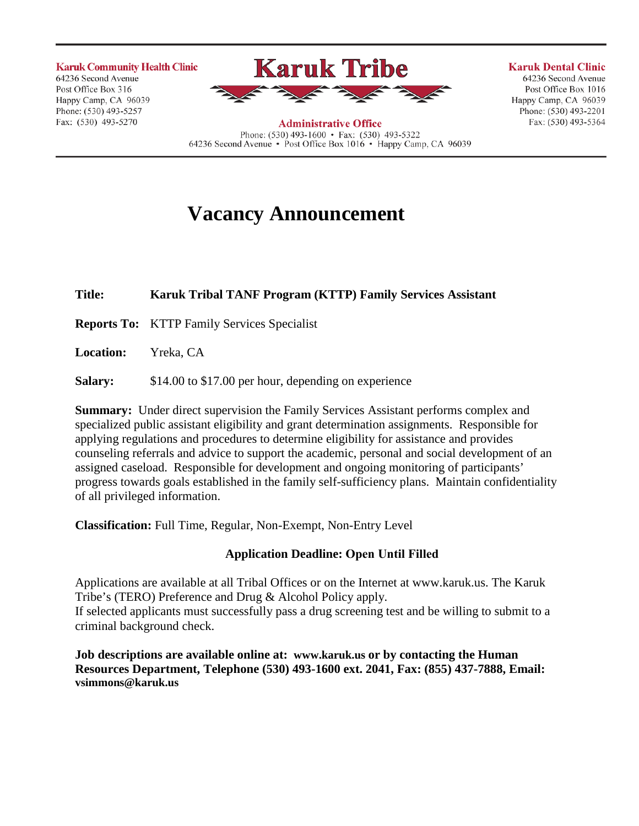**Karuk Community Health Clinic** 64236 Second Avenue Post Office Box 316 Happy Camp, CA 96039 Phone: (530) 493-5257 Fax: (530) 493-5270



**Administrative Office** Phone:  $(530)$  493-1600 • Fax:  $(530)$  493-5322 64236 Second Avenue • Post Office Box 1016 • Happy Camp, CA 96039

#### **Karuk Dental Clinic** 64236 Second Avenue Post Office Box 1016 Happy Camp, CA 96039 Phone: (530) 493-2201

Fax: (530) 493-5364

**Vacancy Announcement**

# **Title: Karuk Tribal TANF Program (KTTP) Family Services Assistant**

**Reports To:** KTTP Family Services Specialist

**Location:** Yreka, CA

**Salary:** \$14.00 to \$17.00 per hour, depending on experience

**Summary:** Under direct supervision the Family Services Assistant performs complex and specialized public assistant eligibility and grant determination assignments. Responsible for applying regulations and procedures to determine eligibility for assistance and provides counseling referrals and advice to support the academic, personal and social development of an assigned caseload. Responsible for development and ongoing monitoring of participants' progress towards goals established in the family self-sufficiency plans. Maintain confidentiality of all privileged information.

**Classification:** Full Time, Regular, Non-Exempt, Non-Entry Level

## **Application Deadline: Open Until Filled**

Applications are available at all Tribal Offices or on the Internet at [www.karuk.us.](http://www.karuk.us/) The Karuk Tribe's (TERO) Preference and Drug & Alcohol Policy apply. If selected applicants must successfully pass a drug screening test and be willing to submit to a criminal background check.

**Job descriptions are available online at: [www.karuk.us o](http://www.karuk.us/)r by contacting the Human Resources Department, Telephone (530) 493-1600 ext. 2041, Fax: (855) 437-7888, Email: [vsimmons@karuk.us](mailto:vsimmons@karuk.us)**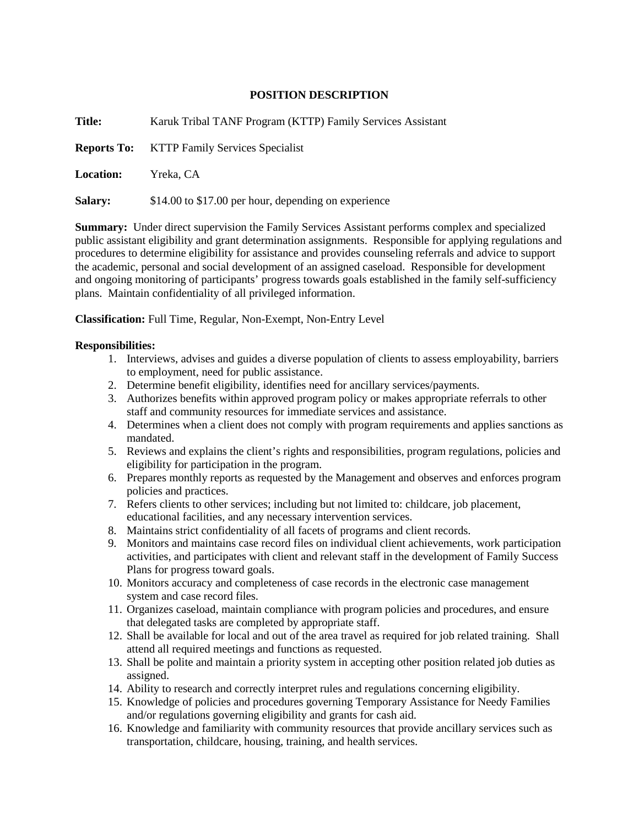## **POSITION DESCRIPTION**

| Title:           | Karuk Tribal TANF Program (KTTP) Family Services Assistant |
|------------------|------------------------------------------------------------|
| Reports To:      | <b>KTTP Family Services Specialist</b>                     |
| <b>Location:</b> | Yreka. CA                                                  |
| <b>Salary:</b>   | \$14.00 to \$17.00 per hour, depending on experience       |
|                  |                                                            |

**Summary:** Under direct supervision the Family Services Assistant performs complex and specialized public assistant eligibility and grant determination assignments. Responsible for applying regulations and procedures to determine eligibility for assistance and provides counseling referrals and advice to support the academic, personal and social development of an assigned caseload. Responsible for development and ongoing monitoring of participants' progress towards goals established in the family self-sufficiency plans. Maintain confidentiality of all privileged information.

**Classification:** Full Time, Regular, Non-Exempt, Non-Entry Level

## **Responsibilities:**

- 1. Interviews, advises and guides a diverse population of clients to assess employability, barriers to employment, need for public assistance.
- 2. Determine benefit eligibility, identifies need for ancillary services/payments.
- 3. Authorizes benefits within approved program policy or makes appropriate referrals to other staff and community resources for immediate services and assistance.
- 4. Determines when a client does not comply with program requirements and applies sanctions as mandated.
- 5. Reviews and explains the client's rights and responsibilities, program regulations, policies and eligibility for participation in the program.
- 6. Prepares monthly reports as requested by the Management and observes and enforces program policies and practices.
- 7. Refers clients to other services; including but not limited to: childcare, job placement, educational facilities, and any necessary intervention services.
- 8. Maintains strict confidentiality of all facets of programs and client records.
- 9. Monitors and maintains case record files on individual client achievements, work participation activities, and participates with client and relevant staff in the development of Family Success Plans for progress toward goals.
- 10. Monitors accuracy and completeness of case records in the electronic case management system and case record files.
- 11. Organizes caseload, maintain compliance with program policies and procedures, and ensure that delegated tasks are completed by appropriate staff.
- 12. Shall be available for local and out of the area travel as required for job related training. Shall attend all required meetings and functions as requested.
- 13. Shall be polite and maintain a priority system in accepting other position related job duties as assigned.
- 14. Ability to research and correctly interpret rules and regulations concerning eligibility.
- 15. Knowledge of policies and procedures governing Temporary Assistance for Needy Families and/or regulations governing eligibility and grants for cash aid.
- 16. Knowledge and familiarity with community resources that provide ancillary services such as transportation, childcare, housing, training, and health services.